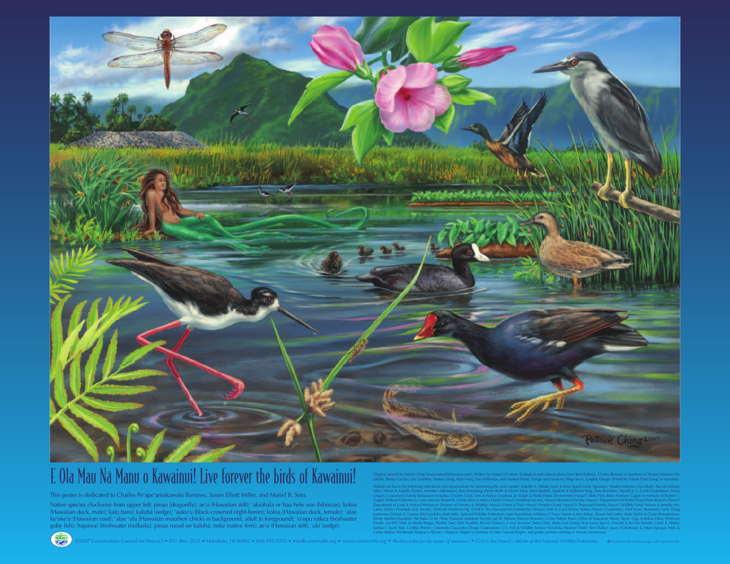This poster is dedicated to Charles Pe'ape'amakawalu Burrows, Susan Elliott Miller, and Muriel B. Seto.

Native species clockwise from upper left: pinao (dragonfly); ae'o (Hawaiian stilt); 'akiohala or hau hele wai (hibiscus); koloa (Hawaiian duck, male); kalo (taro); kaluhä (sedge); 'auku'u (black-crowned night-heron); koloa (Hawaiian duck, female); 'alae ke'oke'o (Hawaiian coot); 'alae 'ula (Hawaiian moorhen chicks in background, adult in foreground); 'o'opu näkea (freshwater goby fish); hapawai (freshwater mollusks); pinao naiad on kaluhä; neke (native fern); ae'o (Hawaiian stilt); 'uki (sedge).

Original artwork by Patrick Ching (www.naturallyhawaiian.com). Written by Maura O'Connor. Ecological and cultural advice from Rick Barboza, Charles Burrows & members of 'Ahahui Mälama I Ka Lökahi, Bobby Camara, Eric Guinther, Marian Leong, Kepa Maly, Dan Polhemus, and Mashuri Waite. Design and layout by Helga Jervis, Graphic Design. Printed by Valenti Print Group in Honolulu.

Mahalo nui loa to the following individuals and organizations for sponsoring this year's poster: Isabella A. Abbott; Louis & Irma Agard; Leslie Agorastos; 'Ahahui Mälama I Ka Lökahi; Aka'ula School; Allen Allison & Isabella Forster; Annette's Adventures; Ken Armstrong; Byron Barth & Morris Wise; Steve Bartlett; Stephen & Kathleen Berg; Amy Bernstein; Harold K. L. Castle Foundation; Moira Chapin; Cinnamon's Family Restaurant in Kailua; Charles Cook; Tom & Nancy Crawford, Jr.; Ralph & Heidi Elston; Environment Hawai'i; Beth Flint; Betsy Harrison Gagné in memory of Wayne C. Gagné; William Gilmartin & Casey Jarman; Robert B. Green; John & Marcia Harter; Hawai'i Audubon Society; Hawai'i Botanical Society; Hawai'i Department of Health Clean Water Branch; Hawai'i Department of Land & Natural Resources Division of Forestry & Wildlife; Hawai'i Forest & Trail; Hawai'i People's Fund; Hawai'i's Thousand Friends; Hawai'i Wildlife Fund; Nelson & Jennifer Ho; Lance Holter; Honolulu Zoo Society; Deborah Hootman-Ng; KAHEA: The Hawaiian-Environmental Alliance; Bob & Carol Keane; Kōkua Hawai'i Foundation; Fred Kraus; Kulamanu Farm; Doug Lamerson; Dolores E. Layton; Julie Leialoha; Matt Little, National Wildlife Federation; Lyon Foundation; Malama O Puna; Martin & MacArthur; Sharon McCarthy; Mark Merlin & Claire Shimabukuro; Dieter Mueller-Dombois; Na Maka O Ka 'Aina; National Audubon Society; Jay W. Nelson; Patricia Novsam; O'ahu Nature Tours; Office of Hawaiian Affairs; Steve, Gigi, & Kekoa Olive; Peiterson Family; Jay Pell; Peter & Myrtle Rappa; Pauline Sato; Rick Scudder, Ka'imi Ventures; Casey Seaman; Sierra Club, Moku Loa Group; Scot Lucas Spicer; Oswald & Ku'ulei Stender; Linda K. Stiefel; Sabina F. Swift; Rep. Cynthia Thielen; Umemoto Cassandro Design Corporation; U.S. Fish & Wildlife Service Honolulu; Mashuri Waite; Ron Walker; Jacey Waterhouse & Adam Spurgat; Tekla & Carlos Weber; Windward Ahupua'a Alliance; Marjorie Ziegler in memory of Alan Conrad Ziegler; and poster partners wishing to remain anonymous.





# E Ola Mau Na Manu o Kawainui! Live forever the birds of Kawainui!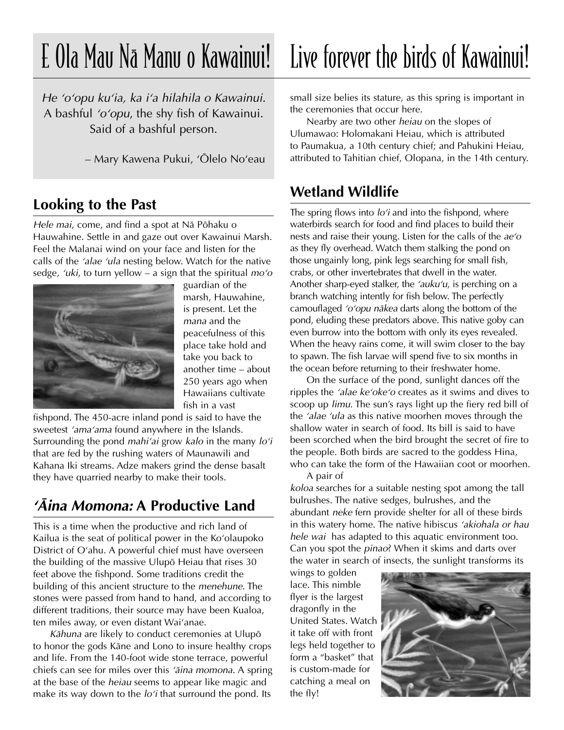## E Ola Mau Na Manu o Kawainui! Live forever the birds of Kawainui!

He 'o'opu ku'ia, ka i'a hilahila o Kawainui. A bashful 'o'opu, the shy fish of Kawainui. Said of a bashful person.

– Mary Kawena Pukui, ÿÖlelo Noÿeau

#### **Looking to the Past**

Hele mai, come, and find a spot at Nä Pöhaku o Hauwahine. Settle in and gaze out over Kawainui Marsh. Feel the Malanai wind on your face and listen for the calls of the 'alae 'ula nesting below. Watch for the native sedge, 'uki, to turn yellow – a sign that the spiritual  $mo'o$ 



guardian of the marsh, Hauwahine, is present. Let the mana and the peacefulness of this place take hold and take you back to another time – about 250 years ago when Hawaiians cultivate fish in a vast

fishpond. The 450-acre inland pond is said to have the sweetest 'ama'ama found anywhere in the Islands. Surrounding the pond *mahi'ai* grow *kalo* in the many  $\log n$ that are fed by the rushing waters of Maunawili and Kahana Iki streams. Adze makers grind the dense basalt they have quarried nearby to make their tools.

## **ÿÄina Momona: A Productive Land**

This is a time when the productive and rich land of Kailua is the seat of political power in the Ko'olaupoko District of O'ahu. A powerful chief must have overseen the building of the massive Ulupö Heiau that rises 30 feet above the fishpond. Some traditions credit the building of this ancient structure to the menehune. The stones were passed from hand to hand, and according to different traditions, their source may have been Kualoa, ten miles away, or even distant Wai'anae.

Kähuna are likely to conduct ceremonies at Ulupö to honor the gods Käne and Lono to insure healthy crops and life. From the 140-foot wide stone terrace, powerful chiefs can see for miles over this 'aina momona. A spring at the base of the heiau seems to appear like magic and make its way down to the  $lo'i$  that surround the pond. Its

small size belies its stature, as this spring is important in the ceremonies that occur here.

Nearby are two other heiau on the slopes of Ulumawao: Holomakani Heiau, which is attributed to Paumakua, a 10th century chief; and Pahukini Heiau, attributed to Tahitian chief, Olopana, in the 14th century.

#### **Wetland Wildlife**

The spring flows into  $lo'i$  and into the fishpond, where waterbirds search for food and find places to build their nests and raise their young. Listen for the calls of the  $ae'o$ as they fly overhead. Watch them stalking the pond on those ungainly long, pink legs searching for small fish, crabs, or other invertebrates that dwell in the water. Another sharp-eyed stalker, the 'auku'u, is perching on a branch watching intently for fish below. The perfectly camouflaged 'o'opu nākea darts along the bottom of the pond, eluding these predators above. This native goby can even burrow into the bottom with only its eyes revealed. When the heavy rains come, it will swim closer to the bay to spawn. The fish larvae will spend five to six months in the ocean before returning to their freshwater home.

On the surface of the pond, sunlight dances off the ripples the *'alae ke'oke'o* creates as it swims and dives to scoop up limu. The sun's rays light up the fiery red bill of the 'alae 'ula as this native moorhen moves through the shallow water in search of food. Its bill is said to have been scorched when the bird brought the secret of fire to the people. Both birds are sacred to the goddess Hina, who can take the form of the Hawaiian coot or moorhen. A pair of

koloa searches for a suitable nesting spot among the tall bulrushes. The native sedges, bulrushes, and the abundant neke fern provide shelter for all of these birds in this watery home. The native hibiscus 'akiohala or hau hele wai has adapted to this aquatic environment too. Can you spot the pinao? When it skims and darts over the water in search of insects, the sunlight transforms its

wings to golden lace. This nimble flyer is the largest dragonfly in the United States. Watch it take off with front legs held together to form a "basket" that is custom-made for catching a meal on the fly!

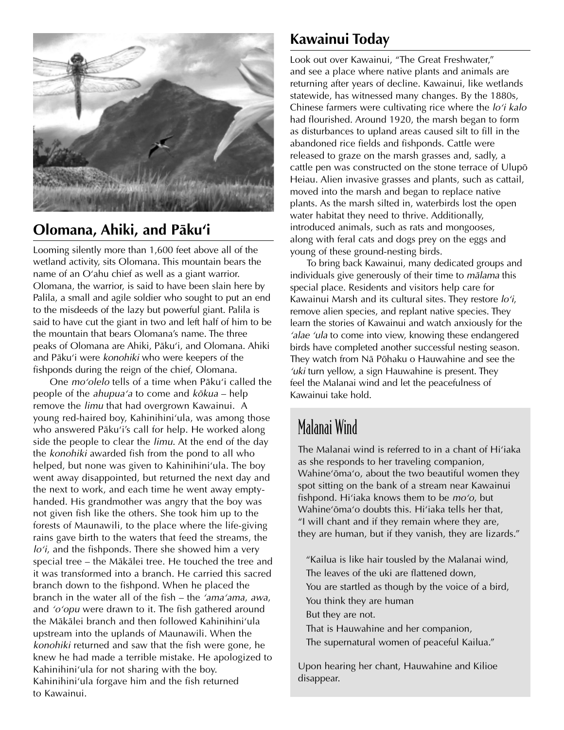

## **Olomana, Ahiki, and Päkuÿi**

Looming silently more than 1,600 feet above all of the wetland activity, sits Olomana. This mountain bears the name of an O'ahu chief as well as a giant warrior. Olomana, the warrior, is said to have been slain here by Palila, a small and agile soldier who sought to put an end to the misdeeds of the lazy but powerful giant. Palila is said to have cut the giant in two and left half of him to be the mountain that bears Olomana's name. The three peaks of Olomana are Ahiki, Pāku'i, and Olomana. Ahiki and Pāku'i were konohiki who were keepers of the fishponds during the reign of the chief, Olomana.

One mo'olelo tells of a time when Pāku'i called the people of the ahupua'a to come and kōkua – help remove the limu that had overgrown Kawainui. A young red-haired boy, Kahinihini'ula, was among those who answered Pāku'i's call for help. He worked along side the people to clear the *limu*. At the end of the day the konohiki awarded fish from the pond to all who helped, but none was given to Kahinihini'ula. The boy went away disappointed, but returned the next day and the next to work, and each time he went away emptyhanded. His grandmother was angry that the boy was not given fish like the others. She took him up to the forests of Maunawili, to the place where the life-giving rains gave birth to the waters that feed the streams, the  $lo'i$ , and the fishponds. There she showed him a very special tree – the Mäkälei tree. He touched the tree and it was transformed into a branch. He carried this sacred branch down to the fishpond. When he placed the branch in the water all of the fish – the 'ama'ama, awa, and 'o'opu were drawn to it. The fish gathered around the Mākālei branch and then followed Kahinihini'ula upstream into the uplands of Maunawili. When the konohiki returned and saw that the fish were gone, he knew he had made a terrible mistake. He apologized to Kahinihini'ula for not sharing with the boy. Kahinihini'ula forgave him and the fish returned to Kawainui.

## **Kawainui Today**

Look out over Kawainui, "The Great Freshwater," and see a place where native plants and animals are returning after years of decline. Kawainui, like wetlands statewide, has witnessed many changes. By the 1880s, Chinese farmers were cultivating rice where the lo'i kalo had flourished. Around 1920, the marsh began to form as disturbances to upland areas caused silt to fill in the abandoned rice fields and fishponds. Cattle were released to graze on the marsh grasses and, sadly, a cattle pen was constructed on the stone terrace of Ulupö Heiau. Alien invasive grasses and plants, such as cattail, moved into the marsh and began to replace native plants. As the marsh silted in, waterbirds lost the open water habitat they need to thrive. Additionally, introduced animals, such as rats and mongooses, along with feral cats and dogs prey on the eggs and young of these ground-nesting birds.

To bring back Kawainui, many dedicated groups and individuals give generously of their time to mälama this special place. Residents and visitors help care for Kawainui Marsh and its cultural sites. They restore  $lo'i$ , remove alien species, and replant native species. They learn the stories of Kawainui and watch anxiously for the 'alae 'ula to come into view, knowing these endangered birds have completed another successful nesting season. They watch from Nä Pöhaku o Hauwahine and see the *uki* turn yellow, a sign Hauwahine is present. They feel the Malanai wind and let the peacefulness of Kawainui take hold.

## Malanai Wind

The Malanai wind is referred to in a chant of Hi'iaka as she responds to her traveling companion, Wahine'ōma'o, about the two beautiful women they spot sitting on the bank of a stream near Kawainui fishpond. Hi'iaka knows them to be  $mo'o$ , but Wahine'ōma'o doubts this. Hi'iaka tells her that, "I will chant and if they remain where they are, they are human, but if they vanish, they are lizards."

"Kailua is like hair tousled by the Malanai wind, The leaves of the uki are flattened down, You are startled as though by the voice of a bird, You think they are human But they are not. That is Hauwahine and her companion, The supernatural women of peaceful Kailua."

Upon hearing her chant, Hauwahine and Kilioe disappear.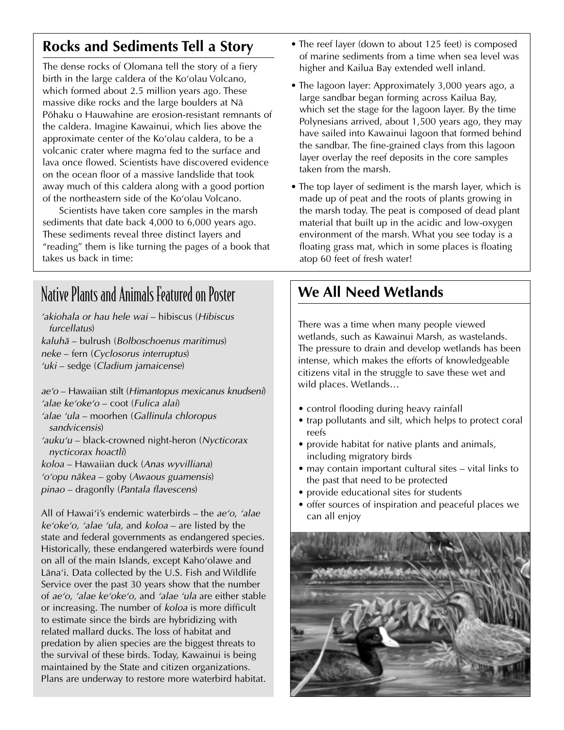## **Rocks and Sediments Tell a Story**

The dense rocks of Olomana tell the story of a fiery birth in the large caldera of the Ko'olau Volcano, which formed about 2.5 million years ago. These massive dike rocks and the large boulders at Nä Pöhaku o Hauwahine are erosion-resistant remnants of the caldera. Imagine Kawainui, which lies above the approximate center of the Ko'olau caldera, to be a volcanic crater where magma fed to the surface and lava once flowed. Scientists have discovered evidence on the ocean floor of a massive landslide that took away much of this caldera along with a good portion of the northeastern side of the Ko'olau Volcano.

Scientists have taken core samples in the marsh sediments that date back 4,000 to 6,000 years ago. These sediments reveal three distinct layers and "reading" them is like turning the pages of a book that takes us back in time:

## Native Plants and Animals Featured on Poster

'akiohala or hau hele wai – hibiscus (Hibiscus furcellatus) kaluhä – bulrush (Bolboschoenus maritimus)

neke – fern (Cyclosorus interruptus)

ÿuki – sedge (Cladium jamaicense)

ae'o – Hawaiian stilt (Himantopus mexicanus knudseni) 'alae keÿokeÿo – coot (Fulica alai) ÿalae ÿula – moorhen (Gallinula chloropus sandvicensis) 'auku'u – black-crowned night-heron (Nycticorax nycticorax hoactli) koloa – Hawaiian duck (Anas wyvilliana)

ÿoÿopu näkea – goby (Awaous guamensis)

pinao – dragonfly (Pantala flavescens)

All of Hawai'i's endemic waterbirds – the  $ae'o$ , 'alae  $ke'oke'o$ , 'alae 'ula, and  $koloa$  – are listed by the state and federal governments as endangered species. Historically, these endangered waterbirds were found on all of the main Islands, except Kahoÿolawe and Lāna'i. Data collected by the U.S. Fish and Wildlife Service over the past 30 years show that the number of ae'o, 'alae ke'oke'o, and 'alae 'ula are either stable or increasing. The number of koloa is more difficult to estimate since the birds are hybridizing with related mallard ducks. The loss of habitat and predation by alien species are the biggest threats to the survival of these birds. Today, Kawainui is being maintained by the State and citizen organizations. Plans are underway to restore more waterbird habitat.

- The reef layer (down to about 125 feet) is composed of marine sediments from a time when sea level was higher and Kailua Bay extended well inland.
- The lagoon layer: Approximately 3,000 years ago, a large sandbar began forming across Kailua Bay, which set the stage for the lagoon layer. By the time Polynesians arrived, about 1,500 years ago, they may have sailed into Kawainui lagoon that formed behind the sandbar. The fine-grained clays from this lagoon layer overlay the reef deposits in the core samples taken from the marsh.
- The top layer of sediment is the marsh layer, which is made up of peat and the roots of plants growing in the marsh today. The peat is composed of dead plant material that built up in the acidic and low-oxygen environment of the marsh. What you see today is a floating grass mat, which in some places is floating atop 60 feet of fresh water!

## **We All Need Wetlands**

There was a time when many people viewed wetlands, such as Kawainui Marsh, as wastelands. The pressure to drain and develop wetlands has been intense, which makes the efforts of knowledgeable citizens vital in the struggle to save these wet and wild places. Wetlands…

- control flooding during heavy rainfall
- trap pollutants and silt, which helps to protect coral reefs
- provide habitat for native plants and animals, including migratory birds
- may contain important cultural sites vital links to the past that need to be protected
- provide educational sites for students
- offer sources of inspiration and peaceful places we can all enjoy